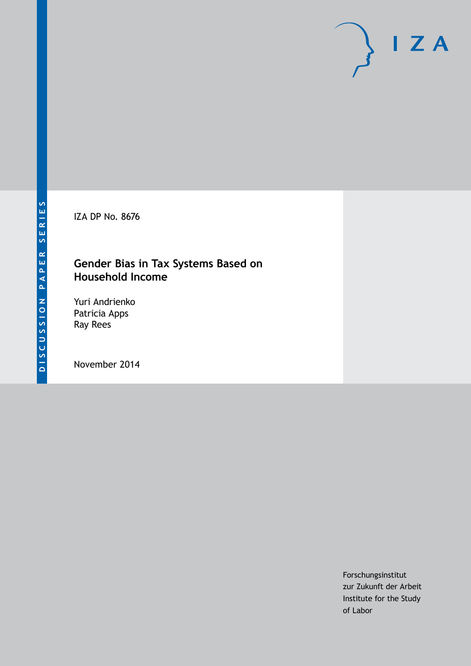IZA DP No. 8676

# **Gender Bias in Tax Systems Based on Household Income**

Yuri Andrienko Patricia Apps Ray Rees

November 2014

Forschungsinstitut zur Zukunft der Arbeit Institute for the Study of Labor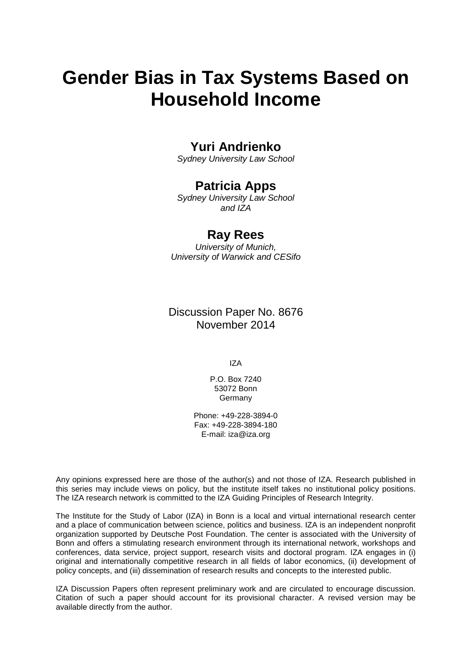# **Gender Bias in Tax Systems Based on Household Income**

# **Yuri Andrienko**

*Sydney University Law School*

# **Patricia Apps**

*Sydney University Law School and IZA*

# **Ray Rees**

*University of Munich, University of Warwick and CESifo*

Discussion Paper No. 8676 November 2014

IZA

P.O. Box 7240 53072 Bonn **Germany** 

Phone: +49-228-3894-0 Fax: +49-228-3894-180 E-mail: [iza@iza.org](mailto:iza@iza.org)

Any opinions expressed here are those of the author(s) and not those of IZA. Research published in this series may include views on policy, but the institute itself takes no institutional policy positions. The IZA research network is committed to the IZA Guiding Principles of Research Integrity.

The Institute for the Study of Labor (IZA) in Bonn is a local and virtual international research center and a place of communication between science, politics and business. IZA is an independent nonprofit organization supported by Deutsche Post Foundation. The center is associated with the University of Bonn and offers a stimulating research environment through its international network, workshops and conferences, data service, project support, research visits and doctoral program. IZA engages in (i) original and internationally competitive research in all fields of labor economics, (ii) development of policy concepts, and (iii) dissemination of research results and concepts to the interested public.

<span id="page-1-0"></span>IZA Discussion Papers often represent preliminary work and are circulated to encourage discussion. Citation of such a paper should account for its provisional character. A revised version may be available directly from the author.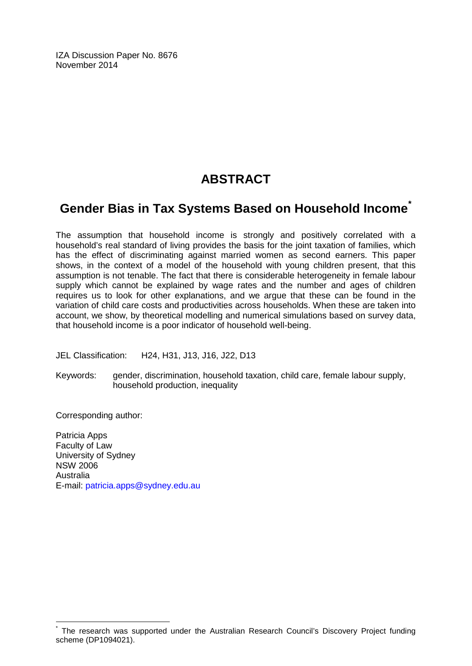IZA Discussion Paper No. 8676 November 2014

# **ABSTRACT**

# **Gender Bias in Tax Systems Based on Household Income[\\*](#page-1-0)**

The assumption that household income is strongly and positively correlated with a household's real standard of living provides the basis for the joint taxation of families, which has the effect of discriminating against married women as second earners. This paper shows, in the context of a model of the household with young children present, that this assumption is not tenable. The fact that there is considerable heterogeneity in female labour supply which cannot be explained by wage rates and the number and ages of children requires us to look for other explanations, and we argue that these can be found in the variation of child care costs and productivities across households. When these are taken into account, we show, by theoretical modelling and numerical simulations based on survey data, that household income is a poor indicator of household well-being.

JEL Classification: H24, H31, J13, J16, J22, D13

Keywords: gender, discrimination, household taxation, child care, female labour supply, household production, inequality

Corresponding author:

Patricia Apps Faculty of Law University of Sydney NSW 2006 Australia E-mail: [patricia.apps@sydney.edu.au](mailto:patricia.apps@sydney.edu.au)

The research was supported under the Australian Research Council's Discovery Project funding scheme (DP1094021).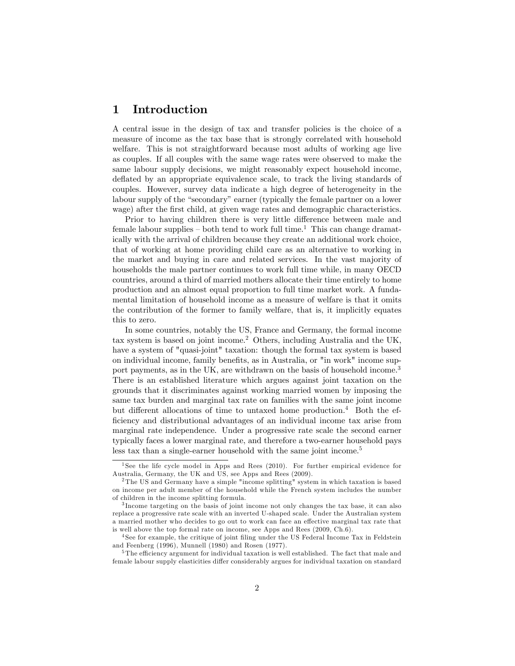# 1 Introduction

A central issue in the design of tax and transfer policies is the choice of a measure of income as the tax base that is strongly correlated with household welfare. This is not straightforward because most adults of working age live as couples. If all couples with the same wage rates were observed to make the same labour supply decisions, we might reasonably expect household income, deflated by an appropriate equivalence scale, to track the living standards of couples. However, survey data indicate a high degree of heterogeneity in the labour supply of the "secondary" earner (typically the female partner on a lower wage) after the first child, at given wage rates and demographic characteristics.

Prior to having children there is very little difference between male and female labour supplies  $\sim$  both tend to work full time.<sup>1</sup> This can change dramatically with the arrival of children because they create an additional work choice, that of working at home providing child care as an alternative to working in the market and buying in care and related services. In the vast majority of households the male partner continues to work full time while, in many OECD countries, around a third of married mothers allocate their time entirely to home production and an almost equal proportion to full time market work. A fundamental limitation of household income as a measure of welfare is that it omits the contribution of the former to family welfare, that is, it implicitly equates this to zero.

In some countries, notably the US, France and Germany, the formal income tax system is based on joint income.<sup>2</sup> Others, including Australia and the UK, have a system of "quasi-joint" taxation: though the formal tax system is based on individual income, family benefits, as in Australia, or "in work" income support payments, as in the UK, are withdrawn on the basis of household income.<sup>3</sup> There is an established literature which argues against joint taxation on the grounds that it discriminates against working married women by imposing the same tax burden and marginal tax rate on families with the same joint income but different allocations of time to untaxed home production.<sup>4</sup> Both the efficiency and distributional advantages of an individual income tax arise from marginal rate independence. Under a progressive rate scale the second earner typically faces a lower marginal rate, and therefore a two-earner household pays less tax than a single-earner household with the same joint income.<sup>5</sup>

<sup>&</sup>lt;sup>1</sup>See the life cycle model in Apps and Rees (2010). For further empirical evidence for Australia, Germany, the UK and US, see Apps and Rees (2009).

<sup>2</sup> The US and Germany have a simple "income splitting" system in which taxation is based on income per adult member of the household while the French system includes the number of children in the income splitting formula.

<sup>3</sup> Income targeting on the basis of joint income not only changes the tax base, it can also replace a progressive rate scale with an inverted U-shaped scale. Under the Australian system a married mother who decides to go out to work can face an effective marginal tax rate that is well above the top formal rate on income, see Apps and Rees (2009, Ch.6).

<sup>&</sup>lt;sup>4</sup> See for example, the critique of joint filing under the US Federal Income Tax in Feldstein and Feenberg (1996), Munnell (1980) and Rosen (1977).

 $5$ The efficiency argument for individual taxation is well established. The fact that male and female labour supply elasticities differ considerably argues for individual taxation on standard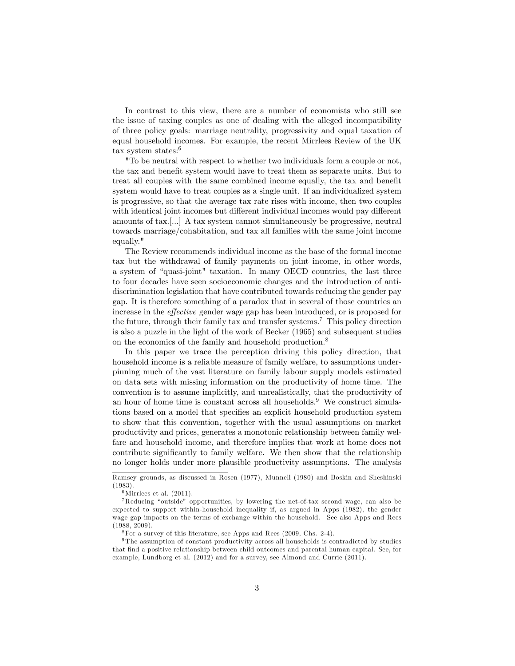In contrast to this view, there are a number of economists who still see the issue of taxing couples as one of dealing with the alleged incompatibility of three policy goals: marriage neutrality, progressivity and equal taxation of equal household incomes. For example, the recent Mirrlees Review of the UK tax system states:<sup>6</sup>

"To be neutral with respect to whether two individuals form a couple or not, the tax and benefit system would have to treat them as separate units. But to treat all couples with the same combined income equally, the tax and benefit system would have to treat couples as a single unit. If an individualized system is progressive, so that the average tax rate rises with income, then two couples with identical joint incomes but different individual incomes would pay different amounts of tax.[...] A tax system cannot simultaneously be progressive, neutral towards marriage/cohabitation, and tax all families with the same joint income equally."

The Review recommends individual income as the base of the formal income tax but the withdrawal of family payments on joint income, in other words, a system of "quasi-joint" taxation. In many OECD countries, the last three to four decades have seen socioeconomic changes and the introduction of antidiscrimination legislation that have contributed towards reducing the gender pay gap. It is therefore something of a paradox that in several of those countries an increase in the *effective* gender wage gap has been introduced, or is proposed for the future, through their family tax and transfer systems.<sup>7</sup> This policy direction is also a puzzle in the light of the work of Becker (1965) and subsequent studies on the economics of the family and household production.<sup>8</sup>

In this paper we trace the perception driving this policy direction, that household income is a reliable measure of family welfare, to assumptions underpinning much of the vast literature on family labour supply models estimated on data sets with missing information on the productivity of home time. The convention is to assume implicitly, and unrealistically, that the productivity of an hour of home time is constant across all households.<sup>9</sup> We construct simulations based on a model that specifies an explicit household production system to show that this convention, together with the usual assumptions on market productivity and prices, generates a monotonic relationship between family welfare and household income, and therefore implies that work at home does not contribute significantly to family welfare. We then show that the relationship no longer holds under more plausible productivity assumptions. The analysis

Ramsey grounds, as discussed in Rosen (1977), Munnell (1980) and Boskin and Sheshinski (1983).

 $6$ Mirrlees et al.  $(2011)$ .

 $7$ Reducing "outside" opportunities, by lowering the net-of-tax second wage, can also be expected to support within-household inequality if, as argued in Apps (1982), the gender wage gap impacts on the terms of exchange within the household. See also Apps and Rees (1988, 2009).

 $8$ For a survey of this literature, see Apps and Rees  $(2009, C$ hs. 2-4).

<sup>&</sup>lt;sup>9</sup>The assumption of constant productivity across all households is contradicted by studies that Önd a positive relationship between child outcomes and parental human capital. See, for example, Lundborg et al. (2012) and for a survey, see Almond and Currie (2011).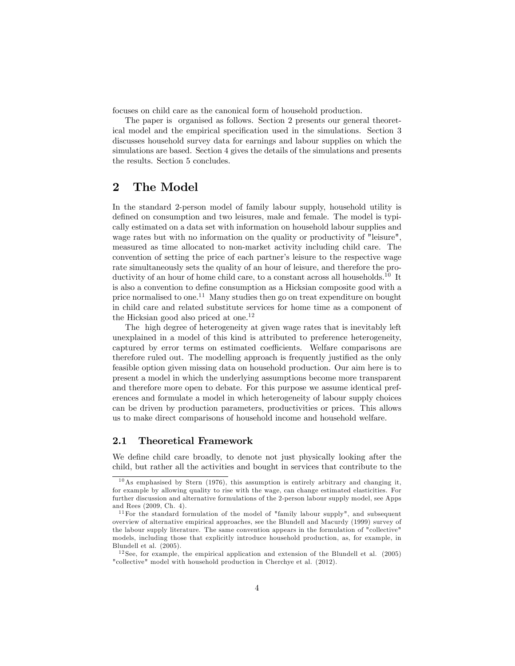focuses on child care as the canonical form of household production.

The paper is organised as follows. Section 2 presents our general theoretical model and the empirical specification used in the simulations. Section 3 discusses household survey data for earnings and labour supplies on which the simulations are based. Section 4 gives the details of the simulations and presents the results. Section 5 concludes.

### 2 The Model

In the standard 2-person model of family labour supply, household utility is defined on consumption and two leisures, male and female. The model is typically estimated on a data set with information on household labour supplies and wage rates but with no information on the quality or productivity of "leisure", measured as time allocated to non-market activity including child care. The convention of setting the price of each partner's leisure to the respective wage rate simultaneously sets the quality of an hour of leisure, and therefore the productivity of an hour of home child care, to a constant across all households.<sup>10</sup> It is also a convention to define consumption as a Hicksian composite good with a price normalised to one.<sup>11</sup> Many studies then go on treat expenditure on bought in child care and related substitute services for home time as a component of the Hicksian good also priced at one.<sup>12</sup>

The high degree of heterogeneity at given wage rates that is inevitably left unexplained in a model of this kind is attributed to preference heterogeneity, captured by error terms on estimated coefficients. Welfare comparisons are therefore ruled out. The modelling approach is frequently justified as the only feasible option given missing data on household production. Our aim here is to present a model in which the underlying assumptions become more transparent and therefore more open to debate. For this purpose we assume identical preferences and formulate a model in which heterogeneity of labour supply choices can be driven by production parameters, productivities or prices. This allows us to make direct comparisons of household income and household welfare.

#### 2.1 Theoretical Framework

We define child care broadly, to denote not just physically looking after the child, but rather all the activities and bought in services that contribute to the

<sup>10</sup>As emphasised by Stern (1976), this assumption is entirely arbitrary and changing it, for example by allowing quality to rise with the wage, can change estimated elasticities. For further discussion and alternative formulations of the 2-person labour supply model, see Apps and Rees (2009, Ch. 4).

<sup>11</sup>For the standard formulation of the model of "family labour supply", and subsequent overview of alternative empirical approaches, see the Blundell and Macurdy (1999) survey of the labour supply literature. The same convention appears in the formulation of "collective" models, including those that explicitly introduce household production, as, for example, in Blundell et al. (2005).

 $12$  See, for example, the empirical application and extension of the Blundell et al. (2005) "collective" model with household production in Cherchye et al. (2012).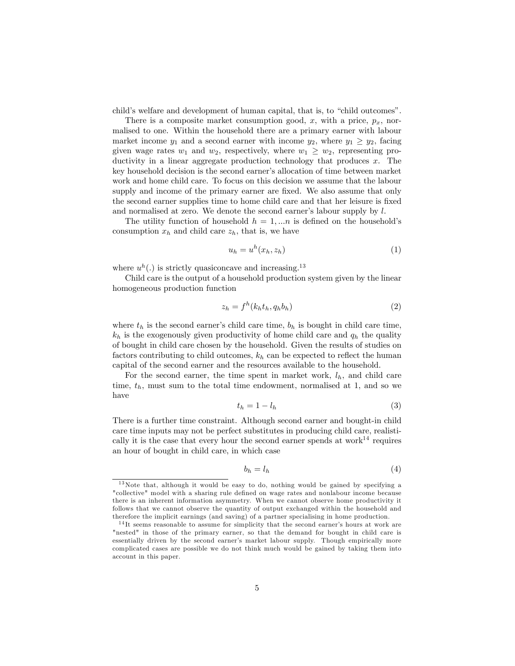child's welfare and development of human capital, that is, to "child outcomes".

There is a composite market consumption good, x, with a price,  $p_x$ , normalised to one. Within the household there are a primary earner with labour market income  $y_1$  and a second earner with income  $y_2$ , where  $y_1 \ge y_2$ , facing given wage rates  $w_1$  and  $w_2$ , respectively, where  $w_1 \geq w_2$ , representing productivity in a linear aggregate production technology that produces  $x$ . The key household decision is the second earner's allocation of time between market work and home child care. To focus on this decision we assume that the labour supply and income of the primary earner are fixed. We also assume that only the second earner supplies time to home child care and that her leisure is fixed and normalised at zero. We denote the second earner's labour supply by  $l$ .

The utility function of household  $h = 1,...n$  is defined on the household's consumption  $x_h$  and child care  $z_h$ , that is, we have

$$
u_h = u^h(x_h, z_h) \tag{1}
$$

where  $u^h(.)$  is strictly quasiconcave and increasing.<sup>13</sup>

Child care is the output of a household production system given by the linear homogeneous production function

$$
z_h = f^h(k_h t_h, q_h b_h) \tag{2}
$$

where  $t_h$  is the second earner's child care time,  $b_h$  is bought in child care time,  $k_h$  is the exogenously given productivity of home child care and  $q_h$  the quality of bought in child care chosen by the household. Given the results of studies on factors contributing to child outcomes,  $k_h$  can be expected to reflect the human capital of the second earner and the resources available to the household.

For the second earner, the time spent in market work,  $l_h$ , and child care time,  $t_h$ , must sum to the total time endowment, normalised at 1, and so we have

$$
t_h = 1 - l_h \tag{3}
$$

There is a further time constraint. Although second earner and bought-in child care time inputs may not be perfect substitutes in producing child care, realistically it is the case that every hour the second earner spends at work<sup>14</sup> requires an hour of bought in child care, in which case

$$
b_h = l_h \tag{4}
$$

<sup>13</sup>Note that, although it would be easy to do, nothing would be gained by specifying a "collective" model with a sharing rule defined on wage rates and nonlabour income because there is an inherent information asymmetry. When we cannot observe home productivity it follows that we cannot observe the quantity of output exchanged within the household and therefore the implicit earnings (and saving) of a partner specialising in home production.

 $14$ It seems reasonable to assume for simplicity that the second earner's hours at work are "nested" in those of the primary earner, so that the demand for bought in child care is essentially driven by the second earner's market labour supply. Though empirically more complicated cases are possible we do not think much would be gained by taking them into account in this paper.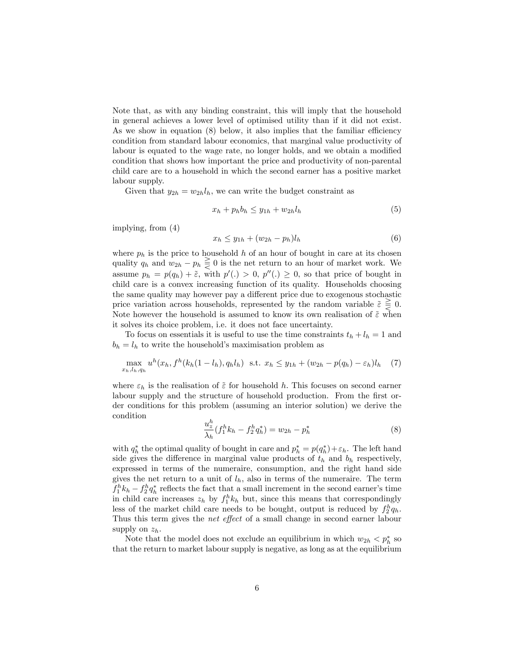Note that, as with any binding constraint, this will imply that the household in general achieves a lower level of optimised utility than if it did not exist. As we show in equation  $(8)$  below, it also implies that the familiar efficiency condition from standard labour economics, that marginal value productivity of labour is equated to the wage rate, no longer holds, and we obtain a modified condition that shows how important the price and productivity of non-parental child care are to a household in which the second earner has a positive market labour supply.

Given that  $y_{2h} = w_{2h}l_h$ , we can write the budget constraint as

$$
x_h + p_h b_h \le y_{1h} + w_{2h} l_h \tag{5}
$$

implying, from (4)

$$
x_h \le y_{1h} + (w_{2h} - p_h)l_h \tag{6}
$$

where  $p_h$  is the price to household h of an hour of bought in care at its chosen quality  $q_h$  and  $w_{2h} - p_h \geq 0$  is the net return to an hour of market work. We assume  $p_h = p(q_h) + \tilde{\varepsilon}$ , with  $p'(\cdot) > 0$ ,  $p''(\cdot) \geq 0$ , so that price of bought in child care is a convex increasing function of its quality. Households choosing the same quality may however pay a different price due to exogenous stochastic price variation across households, represented by the random variable  $\tilde{\varepsilon} \geq 0$ . Note however the household is assumed to know its own realisation of  $\tilde{\varepsilon}$  when it solves its choice problem, i.e. it does not face uncertainty.

To focus on essentials it is useful to use the time constraints  $t_h + l_h = 1$  and  $b_h = l_h$  to write the household's maximisation problem as

$$
\max_{x_h, l_h, q_h} u^h(x_h, f^h(k_h(1 - l_h), q_h l_h) \text{ s.t. } x_h \le y_{1h} + (w_{2h} - p(q_h) - \varepsilon_h)l_h \quad (7)
$$

where  $\varepsilon_h$  is the realisation of  $\tilde{\varepsilon}$  for household h. This focuses on second earner labour supply and the structure of household production. From the first order conditions for this problem (assuming an interior solution) we derive the condition

$$
\frac{u_z^h}{\lambda_h} (f_1^h k_h - f_2^h q_h^*) = w_{2h} - p_h^* \tag{8}
$$

with  $q_h^*$  the optimal quality of bought in care and  $p_h^* = p(q_h^*) + \varepsilon_h$ . The left hand side gives the difference in marginal value products of  $t<sub>h</sub>$  and  $b<sub>h</sub>$  respectively, expressed in terms of the numeraire, consumption, and the right hand side gives the net return to a unit of  $l_h$ , also in terms of the numeraire. The term  $f_1^h k_h - f_2^h q_h^*$  reflects the fact that a small increment in the second earner's time in child care increases  $z_h$  by  $f_1^h k_h$  but, since this means that correspondingly less of the market child care needs to be bought, output is reduced by  $f_2^h q_h$ . Thus this term gives the *net effect* of a small change in second earner labour supply on  $z_h$ .

Note that the model does not exclude an equilibrium in which  $w_{2h} < p_h^*$  so that the return to market labour supply is negative, as long as at the equilibrium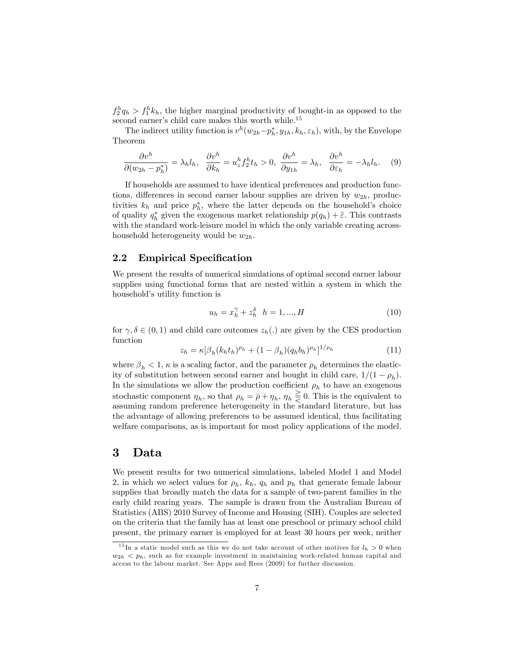$f_2^h q_h > f_1^h k_h$ , the higher marginal productivity of bought-in as opposed to the second earner's child care makes this worth while.<sup>15</sup>

The indirect utility function is  $v^h(w_{2h}-p_h^*, y_{1h}, k_h, \varepsilon_h)$ , with, by the Envelope Theorem

$$
\frac{\partial v^h}{\partial (w_{2h} - p_h^*)} = \lambda_h l_h, \quad \frac{\partial v^h}{\partial k_h} = u_z^h f_2^h t_h > 0, \quad \frac{\partial v^h}{\partial y_{1h}} = \lambda_h, \quad \frac{\partial v^h}{\partial \varepsilon_h} = -\lambda_h l_h. \tag{9}
$$

If households are assumed to have identical preferences and production functions, differences in second earner labour supplies are driven by  $w_{2h}$ , productivities  $k_h$  and price  $p_h^*$ , where the latter depends on the household's choice of quality  $q_h^*$  given the exogenous market relationship  $p(q_h) + \tilde{\varepsilon}$ . This contrasts with the standard work-leisure model in which the only variable creating acrosshousehold heterogeneity would be  $w_{2h}$ .

#### 2.2 Empirical Specification

We present the results of numerical simulations of optimal second earner labour supplies using functional forms that are nested within a system in which the household's utility function is

$$
u_h = x_h^{\gamma} + z_h^{\delta} \quad h = 1, ..., H
$$
 (10)

for  $\gamma, \delta \in (0, 1)$  and child care outcomes  $z_h(.)$  are given by the CES production function

$$
z_h = \kappa [\beta_h (k_h t_h)^{\rho_h} + (1 - \beta_h) (q_h b_h)^{\rho_h}]^{1/\rho_h}
$$
\n(11)

where  $\beta_h < 1$ ,  $\kappa$  is a scaling factor, and the parameter  $\rho_h$  determines the elasticity of substitution between second earner and bought in child care,  $1/(1 - \rho_h)$ . In the simulations we allow the production coefficient  $\rho_h$  to have an exogenous stochastic component  $\eta_h$ , so that  $\rho_h = \bar{\rho} + \eta_h$ ,  $\eta_h \leq 0$ . This is the equivalent to assuming random preference heterogeneity in the standard literature, but has the advantage of allowing preferences to be assumed identical, thus facilitating welfare comparisons, as is important for most policy applications of the model.

### 3 Data

We present results for two numerical simulations, labeled Model 1 and Model 2, in which we select values for  $\rho_h$ ,  $k_h$ ,  $q_h$  and  $p_h$  that generate female labour supplies that broadly match the data for a sample of two-parent families in the early child rearing years. The sample is drawn from the Australian Bureau of Statistics (ABS) 2010 Survey of Income and Housing (SIH). Couples are selected on the criteria that the family has at least one preschool or primary school child present, the primary earner is employed for at least 30 hours per week, neither

<sup>&</sup>lt;sup>15</sup>In a static model such as this we do not take account of other motives for  $l_h > 0$  when  $w_{2h}$   $\langle p_h,$  such as for example investment in maintaining work-related human capital and access to the labour market. See Apps and Rees (2009) for further discussion.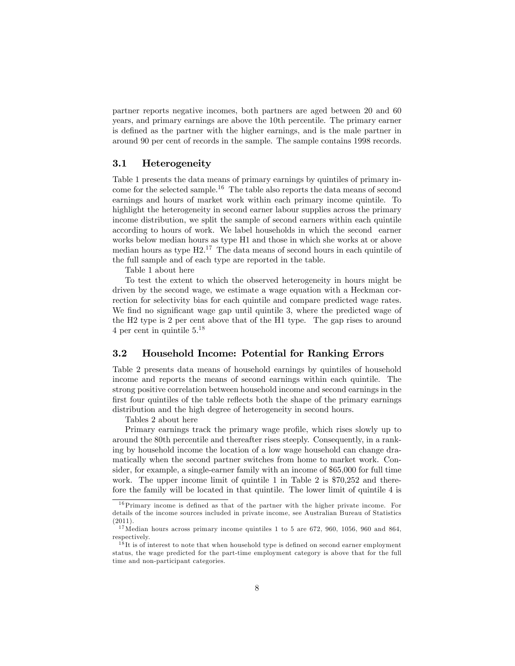partner reports negative incomes, both partners are aged between 20 and 60 years, and primary earnings are above the 10th percentile. The primary earner is deÖned as the partner with the higher earnings, and is the male partner in around 90 per cent of records in the sample. The sample contains 1998 records.

#### 3.1 Heterogeneity

Table 1 presents the data means of primary earnings by quintiles of primary income for the selected sample.<sup>16</sup> The table also reports the data means of second earnings and hours of market work within each primary income quintile. To highlight the heterogeneity in second earner labour supplies across the primary income distribution, we split the sample of second earners within each quintile according to hours of work. We label households in which the second earner works below median hours as type H1 and those in which she works at or above median hours as type  $H2<sup>17</sup>$ . The data means of second hours in each quintile of the full sample and of each type are reported in the table.

Table 1 about here

To test the extent to which the observed heterogeneity in hours might be driven by the second wage, we estimate a wage equation with a Heckman correction for selectivity bias for each quintile and compare predicted wage rates. We find no significant wage gap until quintile 3, where the predicted wage of the H2 type is 2 per cent above that of the H1 type. The gap rises to around 4 per cent in quintile  $5.^{18}$ 

#### 3.2 Household Income: Potential for Ranking Errors

Table 2 presents data means of household earnings by quintiles of household income and reports the means of second earnings within each quintile. The strong positive correlation between household income and second earnings in the first four quintiles of the table reflects both the shape of the primary earnings distribution and the high degree of heterogeneity in second hours.

Tables 2 about here

Primary earnings track the primary wage profile, which rises slowly up to around the 80th percentile and thereafter rises steeply. Consequently, in a ranking by household income the location of a low wage household can change dramatically when the second partner switches from home to market work. Consider, for example, a single-earner family with an income of \$65,000 for full time work. The upper income limit of quintile 1 in Table 2 is \$70,252 and therefore the family will be located in that quintile. The lower limit of quintile 4 is

<sup>16</sup>Primary income is deÖned as that of the partner with the higher private income. For details of the income sources included in private income, see Australian Bureau of Statistics (2011).

 $17$ Median hours across primary income quintiles 1 to 5 are 672, 960, 1056, 960 and 864, respectively.

 $18$ It is of interest to note that when household type is defined on second earner employment status, the wage predicted for the part-time employment category is above that for the full time and non-participant categories.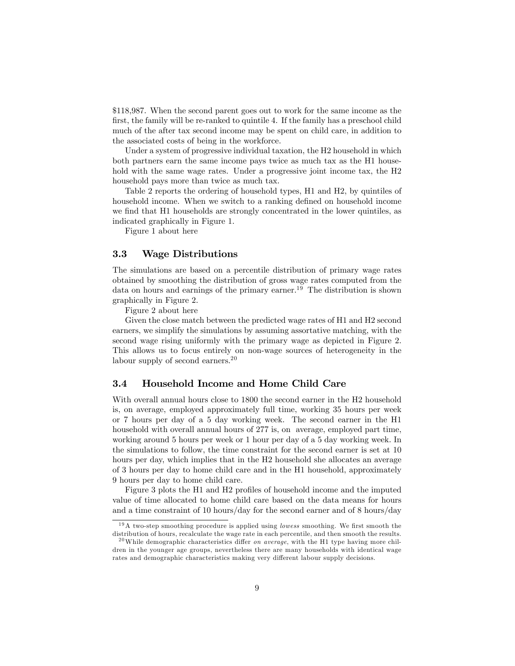\$118,987. When the second parent goes out to work for the same income as the first, the family will be re-ranked to quintile 4. If the family has a preschool child much of the after tax second income may be spent on child care, in addition to the associated costs of being in the workforce.

Under a system of progressive individual taxation, the H2 household in which both partners earn the same income pays twice as much tax as the H1 household with the same wage rates. Under a progressive joint income tax, the H2 household pays more than twice as much tax.

Table 2 reports the ordering of household types, H1 and H2, by quintiles of household income. When we switch to a ranking defined on household income we find that H<sub>1</sub> households are strongly concentrated in the lower quintiles, as indicated graphically in Figure 1.

Figure 1 about here

#### 3.3 Wage Distributions

The simulations are based on a percentile distribution of primary wage rates obtained by smoothing the distribution of gross wage rates computed from the data on hours and earnings of the primary earner.<sup>19</sup> The distribution is shown graphically in Figure 2.

Figure 2 about here

Given the close match between the predicted wage rates of H1 and H2 second earners, we simplify the simulations by assuming assortative matching, with the second wage rising uniformly with the primary wage as depicted in Figure 2. This allows us to focus entirely on non-wage sources of heterogeneity in the labour supply of second earners.<sup>20</sup>

#### 3.4 Household Income and Home Child Care

With overall annual hours close to 1800 the second earner in the H2 household is, on average, employed approximately full time, working 35 hours per week or 7 hours per day of a 5 day working week. The second earner in the H1 household with overall annual hours of 277 is, on average, employed part time, working around 5 hours per week or 1 hour per day of a 5 day working week. In the simulations to follow, the time constraint for the second earner is set at 10 hours per day, which implies that in the H2 household she allocates an average of 3 hours per day to home child care and in the H1 household, approximately 9 hours per day to home child care.

Figure 3 plots the H1 and H2 profiles of household income and the imputed value of time allocated to home child care based on the data means for hours and a time constraint of 10 hours/day for the second earner and of 8 hours/day

 $19A$  two-step smoothing procedure is applied using *lowess* smoothing. We first smooth the distribution of hours, recalculate the wage rate in each percentile, and then smooth the results.

<sup>&</sup>lt;sup>20</sup>While demographic characteristics differ *on average*, with the H<sub>1</sub> type having more children in the younger age groups, nevertheless there are many households with identical wage rates and demographic characteristics making very different labour supply decisions.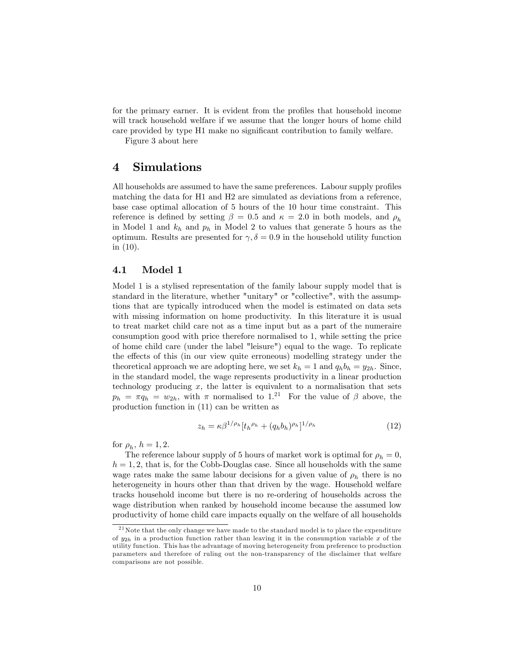for the primary earner. It is evident from the profiles that household income will track household welfare if we assume that the longer hours of home child care provided by type H1 make no significant contribution to family welfare.

Figure 3 about here

### 4 Simulations

All households are assumed to have the same preferences. Labour supply profiles matching the data for H1 and H2 are simulated as deviations from a reference, base case optimal allocation of 5 hours of the 10 hour time constraint. This reference is defined by setting  $\beta = 0.5$  and  $\kappa = 2.0$  in both models, and  $\rho_h$ in Model 1 and  $k_h$  and  $p_h$  in Model 2 to values that generate 5 hours as the optimum. Results are presented for  $\gamma, \delta = 0.9$  in the household utility function in (10).

#### 4.1 Model 1

Model 1 is a stylised representation of the family labour supply model that is standard in the literature, whether "unitary" or "collective", with the assumptions that are typically introduced when the model is estimated on data sets with missing information on home productivity. In this literature it is usual to treat market child care not as a time input but as a part of the numeraire consumption good with price therefore normalised to 1, while setting the price of home child care (under the label "leisure") equal to the wage. To replicate the effects of this (in our view quite erroneous) modelling strategy under the theoretical approach we are adopting here, we set  $k_h = 1$  and  $q_h b_h = y_{2h}$ . Since, in the standard model, the wage represents productivity in a linear production technology producing  $x$ , the latter is equivalent to a normalisation that sets  $p_h = \pi q_h = w_{2h}$ , with  $\pi$  normalised to 1.<sup>21</sup> For the value of  $\beta$  above, the production function in (11) can be written as

$$
z_h = \kappa \beta^{1/\rho_h} [t_h^{\rho_h} + (q_h b_h)^{\rho_h}]^{1/\rho_h} \tag{12}
$$

for  $\rho_h$ ,  $h = 1, 2$ .

The reference labour supply of 5 hours of market work is optimal for  $\rho_h = 0$ ,  $h = 1, 2$ , that is, for the Cobb-Douglas case. Since all households with the same wage rates make the same labour decisions for a given value of  $\rho_h$  there is no heterogeneity in hours other than that driven by the wage. Household welfare tracks household income but there is no re-ordering of households across the wage distribution when ranked by household income because the assumed low productivity of home child care impacts equally on the welfare of all households

<sup>21</sup>Note that the only change we have made to the standard model is to place the expenditure of  $y_{2h}$  in a production function rather than leaving it in the consumption variable x of the utility function. This has the advantage of moving heterogeneity from preference to production parameters and therefore of ruling out the non-transparency of the disclaimer that welfare comparisons are not possible.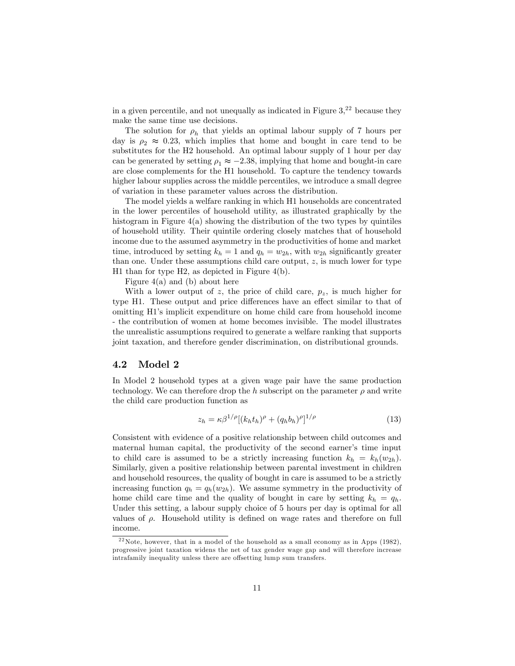in a given percentile, and not unequally as indicated in Figure  $3<sup>22</sup>$  because they make the same time use decisions.

The solution for  $\rho_h$  that yields an optimal labour supply of 7 hours per day is  $\rho_2 \approx 0.23$ , which implies that home and bought in care tend to be substitutes for the H2 household. An optimal labour supply of 1 hour per day can be generated by setting  $\rho_1 \approx -2.38$ , implying that home and bought-in care are close complements for the H1 household. To capture the tendency towards higher labour supplies across the middle percentiles, we introduce a small degree of variation in these parameter values across the distribution.

The model yields a welfare ranking in which H1 households are concentrated in the lower percentiles of household utility, as illustrated graphically by the histogram in Figure 4(a) showing the distribution of the two types by quintiles of household utility. Their quintile ordering closely matches that of household income due to the assumed asymmetry in the productivities of home and market time, introduced by setting  $k_h = 1$  and  $q_h = w_{2h}$ , with  $w_{2h}$  significantly greater than one. Under these assumptions child care output,  $z$ , is much lower for type H1 than for type H2, as depicted in Figure 4(b).

Figure  $4(a)$  and (b) about here

With a lower output of z, the price of child care,  $p_z$ , is much higher for type H1. These output and price differences have an effect similar to that of omitting H1ís implicit expenditure on home child care from household income - the contribution of women at home becomes invisible. The model illustrates the unrealistic assumptions required to generate a welfare ranking that supports joint taxation, and therefore gender discrimination, on distributional grounds.

#### 4.2 Model 2

In Model 2 household types at a given wage pair have the same production technology. We can therefore drop the h subscript on the parameter  $\rho$  and write the child care production function as

$$
z_h = \kappa \beta^{1/\rho} [(k_h t_h)^{\rho} + (q_h b_h)^{\rho}]^{1/\rho} \tag{13}
$$

Consistent with evidence of a positive relationship between child outcomes and maternal human capital, the productivity of the second earner's time input to child care is assumed to be a strictly increasing function  $k_h = k_h(w_{2h})$ . Similarly, given a positive relationship between parental investment in children and household resources, the quality of bought in care is assumed to be a strictly increasing function  $q_h = q_h(w_{2h})$ . We assume symmetry in the productivity of home child care time and the quality of bought in care by setting  $k_h = q_h$ . Under this setting, a labour supply choice of 5 hours per day is optimal for all values of  $\rho$ . Household utility is defined on wage rates and therefore on full income.

 $22$ Note, however, that in a model of the household as a small economy as in Apps (1982), progressive joint taxation widens the net of tax gender wage gap and will therefore increase intrafamily inequality unless there are offsetting lump sum transfers.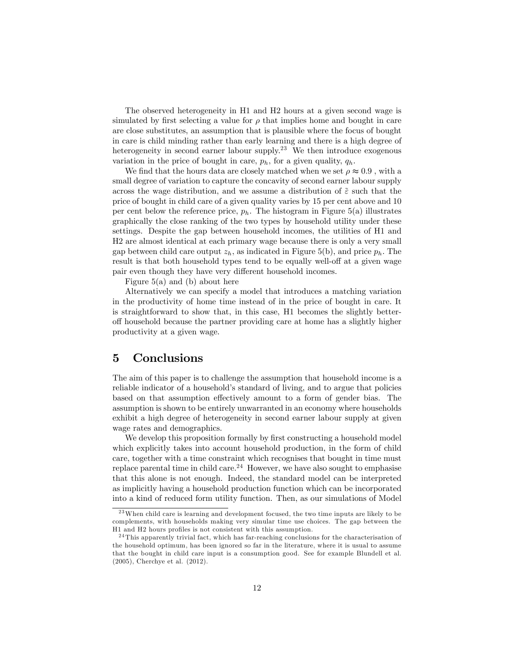The observed heterogeneity in H1 and H2 hours at a given second wage is simulated by first selecting a value for  $\rho$  that implies home and bought in care are close substitutes, an assumption that is plausible where the focus of bought in care is child minding rather than early learning and there is a high degree of heterogeneity in second earner labour supply.<sup>23</sup> We then introduce exogenous variation in the price of bought in care,  $p_h$ , for a given quality,  $q_h$ .

We find that the hours data are closely matched when we set  $\rho \approx 0.9$ , with a small degree of variation to capture the concavity of second earner labour supply across the wage distribution, and we assume a distribution of  $\tilde{\varepsilon}$  such that the price of bought in child care of a given quality varies by 15 per cent above and 10 per cent below the reference price,  $p_h$ . The histogram in Figure 5(a) illustrates graphically the close ranking of the two types by household utility under these settings. Despite the gap between household incomes, the utilities of H1 and H2 are almost identical at each primary wage because there is only a very small gap between child care output  $z_h$ , as indicated in Figure 5(b), and price  $p_h$ . The result is that both household types tend to be equally well-off at a given wage pair even though they have very different household incomes.

Figure  $5(a)$  and (b) about here

Alternatively we can specify a model that introduces a matching variation in the productivity of home time instead of in the price of bought in care. It is straightforward to show that, in this case, H1 becomes the slightly betteroff household because the partner providing care at home has a slightly higher productivity at a given wage.

### 5 Conclusions

The aim of this paper is to challenge the assumption that household income is a reliable indicator of a household's standard of living, and to argue that policies based on that assumption effectively amount to a form of gender bias. The assumption is shown to be entirely unwarranted in an economy where households exhibit a high degree of heterogeneity in second earner labour supply at given wage rates and demographics.

We develop this proposition formally by first constructing a household model which explicitly takes into account household production, in the form of child care, together with a time constraint which recognises that bought in time must replace parental time in child care.<sup>24</sup> However, we have also sought to emphasise that this alone is not enough. Indeed, the standard model can be interpreted as implicitly having a household production function which can be incorporated into a kind of reduced form utility function. Then, as our simulations of Model

<sup>&</sup>lt;sup>23</sup>When child care is learning and development focused, the two time inputs are likely to be complements, with households making very simular time use choices. The gap between the H1 and H2 hours profiles is not consistent with this assumption.

 $24$  This apparently trivial fact, which has far-reaching conclusions for the characterisation of the household optimum, has been ignored so far in the literature, where it is usual to assume that the bought in child care input is a consumption good. See for example Blundell et al. (2005), Cherchye et al. (2012).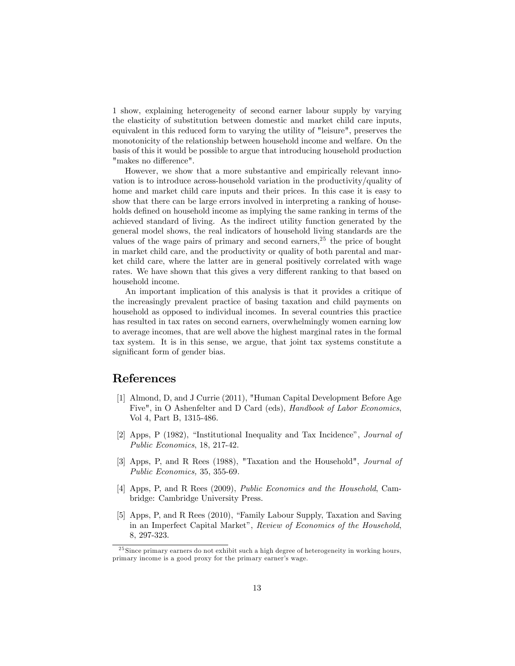1 show, explaining heterogeneity of second earner labour supply by varying the elasticity of substitution between domestic and market child care inputs, equivalent in this reduced form to varying the utility of "leisure", preserves the monotonicity of the relationship between household income and welfare. On the basis of this it would be possible to argue that introducing household production "makes no difference".

However, we show that a more substantive and empirically relevant innovation is to introduce across-household variation in the productivity/quality of home and market child care inputs and their prices. In this case it is easy to show that there can be large errors involved in interpreting a ranking of households defined on household income as implying the same ranking in terms of the achieved standard of living. As the indirect utility function generated by the general model shows, the real indicators of household living standards are the values of the wage pairs of primary and second earners,  $25$  the price of bought in market child care, and the productivity or quality of both parental and market child care, where the latter are in general positively correlated with wage rates. We have shown that this gives a very different ranking to that based on household income.

An important implication of this analysis is that it provides a critique of the increasingly prevalent practice of basing taxation and child payments on household as opposed to individual incomes. In several countries this practice has resulted in tax rates on second earners, overwhelmingly women earning low to average incomes, that are well above the highest marginal rates in the formal tax system. It is in this sense, we argue, that joint tax systems constitute a significant form of gender bias.

## References

- [1] Almond, D, and J Currie (2011), "Human Capital Development Before Age Five", in O Ashenfelter and D Card (eds), Handbook of Labor Economics, Vol 4, Part B, 1315-486.
- [2] Apps, P (1982), "Institutional Inequality and Tax Incidence", *Journal of* Public Economics, 18, 217-42.
- [3] Apps, P, and R Rees (1988), "Taxation and the Household", Journal of Public Economics, 35, 355-69.
- [4] Apps, P, and R Rees (2009), Public Economics and the Household, Cambridge: Cambridge University Press.
- [5] Apps, P, and R Rees (2010), "Family Labour Supply, Taxation and Saving in an Imperfect Capital Market", Review of Economics of the Household, 8, 297-323.

 $^{25}$  Since primary earners do not exhibit such a high degree of heterogeneity in working hours, primary income is a good proxy for the primary earner's wage.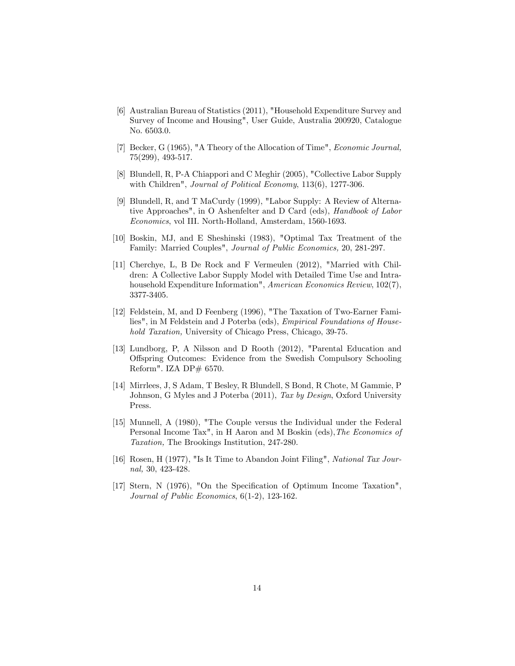- [6] Australian Bureau of Statistics (2011), "Household Expenditure Survey and Survey of Income and Housing", User Guide, Australia 200920, Catalogue No. 6503.0.
- [7] Becker, G (1965), "A Theory of the Allocation of Time", Economic Journal, 75(299), 493-517.
- [8] Blundell, R, P-A Chiappori and C Meghir (2005), "Collective Labor Supply with Children", Journal of Political Economy, 113(6), 1277-306.
- [9] Blundell, R, and T MaCurdy (1999), "Labor Supply: A Review of Alternative Approaches", in O Ashenfelter and D Card (eds), Handbook of Labor Economics, vol III. North-Holland, Amsterdam, 1560-1693.
- [10] Boskin, MJ, and E Sheshinski (1983), "Optimal Tax Treatment of the Family: Married Couples", Journal of Public Economics, 20, 281-297.
- [11] Cherchye, L, B De Rock and F Vermeulen (2012), "Married with Children: A Collective Labor Supply Model with Detailed Time Use and Intrahousehold Expenditure Information", American Economics Review, 102(7), 3377-3405.
- [12] Feldstein, M, and D Feenberg (1996), "The Taxation of Two-Earner Families", in M Feldstein and J Poterba (eds), Empirical Foundations of Household Taxation, University of Chicago Press, Chicago, 39-75.
- [13] Lundborg, P, A Nilsson and D Rooth (2012), "Parental Education and O§spring Outcomes: Evidence from the Swedish Compulsory Schooling Reform". IZA DP# 6570.
- [14] Mirrlees, J, S Adam, T Besley, R Blundell, S Bond, R Chote, M Gammie, P Johnson, G Myles and J Poterba (2011), Tax by Design, Oxford University Press.
- [15] Munnell, A (1980), "The Couple versus the Individual under the Federal Personal Income Tax", in H Aaron and M Boskin (eds), The Economics of Taxation, The Brookings Institution, 247-280.
- [16] Rosen, H (1977), "Is It Time to Abandon Joint Filing", National Tax Journal, 30, 423-428.
- [17] Stern, N (1976), "On the Specification of Optimum Income Taxation", Journal of Public Economics, 6(1-2), 123-162.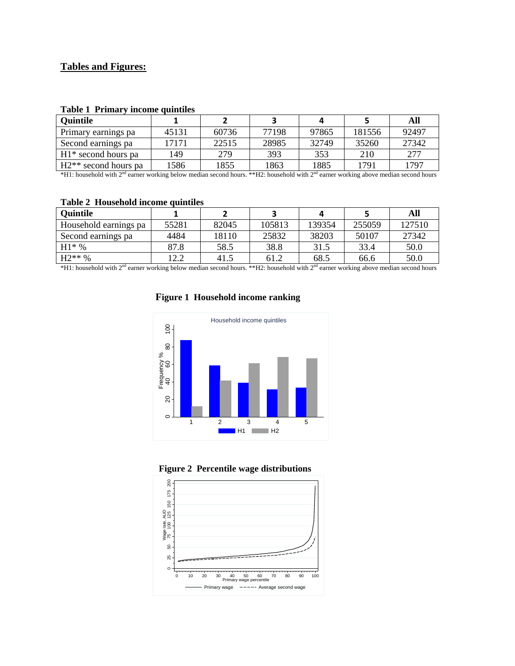### **Tables and Figures:**

| <b>Quintile</b>        |       |       |       |       |        | All   |
|------------------------|-------|-------|-------|-------|--------|-------|
| Primary earnings pa    | 45131 | 60736 | 77198 | 97865 | 181556 | 92497 |
| Second earnings pa     | 17171 | 22515 | 28985 | 32749 | 35260  | 27342 |
| $H1*$ second hours pa  | 49    | 279   | 393   | 353   | 210    | 277   |
| $H2**$ second hours pa | 1586  | 1855  | 1863  | 1885  | 1791   | 1797  |

#### **Table 1 Primary income quintiles**

\*H1: household with 2<sup>nd</sup> earner working below median second hours. \*\*H2: household with 2<sup>nd</sup> earner working above median second hours

#### **Table 2 Household income quintiles**

| <b>Ouintile</b>       |       |       |        |        |        | All    |
|-----------------------|-------|-------|--------|--------|--------|--------|
| Household earnings pa | 55281 | 82045 | 105813 | 139354 | 255059 | 127510 |
| Second earnings pa    | 4484  | 18110 | 25832  | 38203  | 50107  | 27342  |
| $H1*%$                | 87.8  | 58.5  | 38.8   | 31.5   | 33.4   | 50.0   |
| $H2**\%$              | 12.2  | 41.5  | 61.2   | 68.5   | 66.6   | 50.0   |

\*H1: household with 2nd earner working below median second hours. \*\*H2: household with 2nd earner working above median second hours

## **Figure 1 Household income ranking**